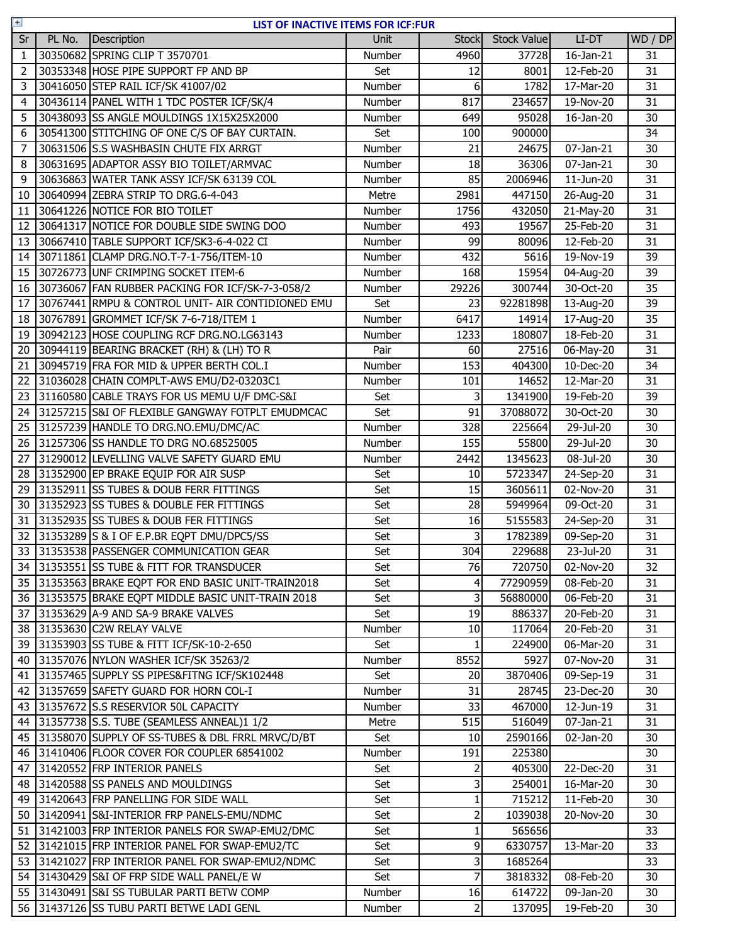| $+$ | LIST OF INACTIVE ITEMS FOR ICF:FUR |                                                     |             |                |                    |                         |                 |  |
|-----|------------------------------------|-----------------------------------------------------|-------------|----------------|--------------------|-------------------------|-----------------|--|
| Sr  | PL No.                             | Description                                         | <b>Unit</b> | <b>Stock</b>   | <b>Stock Value</b> | LI-DT                   | WD / DP         |  |
| 1   |                                    | 30350682 SPRING CLIP T 3570701                      | Number      | 4960           | 37728              | $\overline{16}$ -Jan-21 | 31              |  |
| 2   |                                    | 30353348 HOSE PIPE SUPPORT FP AND BP                | Set         | 12             | 8001               | 12-Feb-20               | 31              |  |
| 3   |                                    | 30416050 STEP RAIL ICF/SK 41007/02                  | Number      | 6              | 1782               | 17-Mar-20               | 31              |  |
| 4   |                                    | 30436114 PANEL WITH 1 TDC POSTER ICF/SK/4           | Number      | 817            | 234657             | 19-Nov-20               | 31              |  |
| 5   |                                    | 30438093 SS ANGLE MOULDINGS 1X15X25X2000            | Number      | 649            | 95028              | 16-Jan-20               | 30              |  |
| 6   |                                    | 30541300 STITCHING OF ONE C/S OF BAY CURTAIN.       | Set         | 100            | 900000             |                         | 34              |  |
| 7   |                                    | 30631506 S.S WASHBASIN CHUTE FIX ARRGT              | Number      | 21             | 24675              | 07-Jan-21               | 30              |  |
| 8   |                                    | 30631695 ADAPTOR ASSY BIO TOILET/ARMVAC             | Number      | 18             | 36306              | 07-Jan-21               | 30              |  |
| 9   |                                    | 30636863 WATER TANK ASSY ICF/SK 63139 COL           | Number      | 85             | 2006946            | 11-Jun-20               | 31              |  |
| 10  |                                    | 30640994 ZEBRA STRIP TO DRG.6-4-043                 | Metre       | 2981           | 447150             | 26-Aug-20               | 31              |  |
| 11  |                                    | 30641226 NOTICE FOR BIO TOILET                      | Number      | 1756           | 432050             | 21-May-20               | 31              |  |
| 12  |                                    | 30641317 NOTICE FOR DOUBLE SIDE SWING DOO           | Number      | 493            | 19567              | 25-Feb-20               | 31              |  |
| 13  |                                    | 30667410 TABLE SUPPORT ICF/SK3-6-4-022 CI           | Number      | 99             | 80096              | 12-Feb-20               | 31              |  |
| 14  |                                    | 30711861 CLAMP DRG.NO.T-7-1-756/ITEM-10             | Number      | 432            | 5616               | 19-Nov-19               | 39              |  |
| 15  |                                    | 30726773 UNF CRIMPING SOCKET ITEM-6                 | Number      | 168            | 15954              | 04-Aug-20               | 39              |  |
| 16  |                                    | 30736067 FAN RUBBER PACKING FOR ICF/SK-7-3-058/2    | Number      | 29226          | 300744             | 30-Oct-20               | 35              |  |
| 17  |                                    | 30767441 RMPU & CONTROL UNIT- AIR CONTIDIONED EMU   | Set         | 23             | 92281898           | 13-Aug-20               | 39              |  |
| 18  |                                    | 30767891 GROMMET ICF/SK 7-6-718/ITEM 1              | Number      | 6417           | 14914              | $\overline{1}$ 7-Aug-20 | 35              |  |
| 19  |                                    | 30942123 HOSE COUPLING RCF DRG.NO.LG63143           | Number      | 1233           | 180807             | 18-Feb-20               | 31              |  |
| 20  |                                    | 30944119 BEARING BRACKET (RH) & (LH) TO R           | Pair        | 60             | 27516              | 06-May-20               | 31              |  |
| 21  |                                    | 30945719 FRA FOR MID & UPPER BERTH COL.I            | Number      | 153            | 404300             | 10-Dec-20               | 34              |  |
| 22  |                                    | 31036028 CHAIN COMPLT-AWS EMU/D2-03203C1            | Number      | 101            | 14652              | 12-Mar-20               | 31              |  |
| 23  |                                    | 31160580 CABLE TRAYS FOR US MEMU U/F DMC-S&I        | Set         | $\overline{3}$ | 1341900            | 19-Feb-20               | 39              |  |
| 24  |                                    | 31257215 S&I OF FLEXIBLE GANGWAY FOTPLT EMUDMCAC    | Set         | 91             | 37088072           | 30-Oct-20               | 30              |  |
| 25  |                                    | 31257239 HANDLE TO DRG.NO.EMU/DMC/AC                | Number      | 328            | 225664             | 29-Jul-20               | 30              |  |
| 26  |                                    | 31257306 SS HANDLE TO DRG NO.68525005               | Number      | 155            | 55800              | 29-Jul-20               | 30              |  |
| 27  |                                    | 31290012 LEVELLING VALVE SAFETY GUARD EMU           | Number      | 2442           | 1345623            | 08-Jul-20               | 30              |  |
| 28  |                                    | 31352900 EP BRAKE EQUIP FOR AIR SUSP                | Set         | 10             | 5723347            | 24-Sep-20               | 31              |  |
| 29  |                                    | 31352911 SS TUBES & DOUB FERR FITTINGS              | Set         | 15             | 3605611            | 02-Nov-20               | 31              |  |
| 30  |                                    | 31352923 SS TUBES & DOUBLE FER FITTINGS             | Set         | 28             | 5949964            | 09-Oct-20               | 31              |  |
| 31  |                                    | 31352935 SS TUBES & DOUB FER FITTINGS               | Set         | 16             | 5155583            | 24-Sep-20               | 31              |  |
| 32  |                                    | 31353289 S & I OF E.P.BR EQPT DMU/DPC5/SS           | Set         | 3              | 1782389            | 09-Sep-20               | 31              |  |
|     |                                    | 33 31353538 PASSENGER COMMUNICATION GEAR            | Set         | 304            | 229688             | $23 -$ Jul-20           | $\overline{31}$ |  |
|     |                                    | 34 31353551 SS TUBE & FITT FOR TRANSDUCER           | Set         | 76             | 720750             | 02-Nov-20               | 32              |  |
|     |                                    | 35 31353563 BRAKE EQPT FOR END BASIC UNIT-TRAIN2018 | Set         | $\overline{4}$ | 77290959           | 08-Feb-20               | 31              |  |
|     |                                    | 36 31353575 BRAKE EQPT MIDDLE BASIC UNIT-TRAIN 2018 | Set         | 3              | 56880000           | 06-Feb-20               | 31              |  |
| 37  |                                    | 31353629 A-9 AND SA-9 BRAKE VALVES                  | Set         | 19             | 886337             | 20-Feb-20               | 31              |  |
| 38  |                                    | 31353630 C2W RELAY VALVE                            | Number      | 10             | 117064             | 20-Feb-20               | 31              |  |
| 39  |                                    | 31353903 SS TUBE & FITT ICF/SK-10-2-650             | Set         | $\mathbf{1}$   | 224900             | 06-Mar-20               | 31              |  |
| 40  |                                    | 31357076 NYLON WASHER ICF/SK 35263/2                | Number      | 8552           | 5927               | 07-Nov-20               | 31              |  |
| 41  |                                    | 31357465 SUPPLY SS PIPES&FITNG ICF/SK102448         | Set         | 20             | 3870406            | $\overline{0}9$ -Sep-19 | 31              |  |
| 42  |                                    | 31357659 SAFETY GUARD FOR HORN COL-I                | Number      | 31             | 28745              | 23-Dec-20               | 30              |  |
| 43  |                                    | 31357672 S.S RESERVIOR 50L CAPACITY                 | Number      | 33             | 467000             | 12-Jun-19               | 31              |  |
| 44  |                                    | 31357738 S.S. TUBE (SEAMLESS ANNEAL)1 1/2           | Metre       | 515            | 516049             | 07-Jan-21               | 31              |  |
| 45  |                                    | 31358070 SUPPLY OF SS-TUBES & DBL FRRL MRVC/D/BT    | Set         | 10             | 2590166            | 02-Jan-20               | 30              |  |
| 46  |                                    | 31410406 FLOOR COVER FOR COUPLER 68541002           | Number      | 191            | 225380             |                         | 30              |  |
| 47  |                                    | 31420552 FRP INTERIOR PANELS                        | Set         | $\mathsf{2}$   | 405300             | 22-Dec-20               | 31              |  |
| 48  |                                    | 31420588 SS PANELS AND MOULDINGS                    | Set         | 3              | 254001             | 16-Mar-20               | 30              |  |
| 49  |                                    | 31420643 FRP PANELLING FOR SIDE WALL                | Set         | $\mathbf{1}$   | 715212             | 11-Feb-20               | 30              |  |
| 50  |                                    | 31420941 S&I-INTERIOR FRP PANELS-EMU/NDMC           | Set         | $\mathsf{2}$   | 1039038            | 20-Nov-20               | 30              |  |
| 51  |                                    | 31421003 FRP INTERIOR PANELS FOR SWAP-EMU2/DMC      | Set         | $\mathbf{1}$   | 565656             |                         | 33              |  |
| 52  |                                    | 31421015 FRP INTERIOR PANEL FOR SWAP-EMU2/TC        | Set         | $\overline{9}$ | 6330757            | 13-Mar-20               | 33              |  |
| 53  |                                    | 31421027 FRP INTERIOR PANEL FOR SWAP-EMU2/NDMC      | Set         | 3              | 1685264            |                         | 33              |  |
|     |                                    | 54 31430429 S&I OF FRP SIDE WALL PANEL/E W          | Set         | $\overline{7}$ | 3818332            | $08$ -Feb-20            | 30              |  |
|     |                                    | 55 31430491 S&I SS TUBULAR PARTI BETW COMP          | Number      | 16             | 614722             | 09-Jan-20               | 30              |  |
|     |                                    | 56 31437126 SS TUBU PARTI BETWE LADI GENL           | Number      | $\overline{2}$ | 137095             | 19-Feb-20               | 30              |  |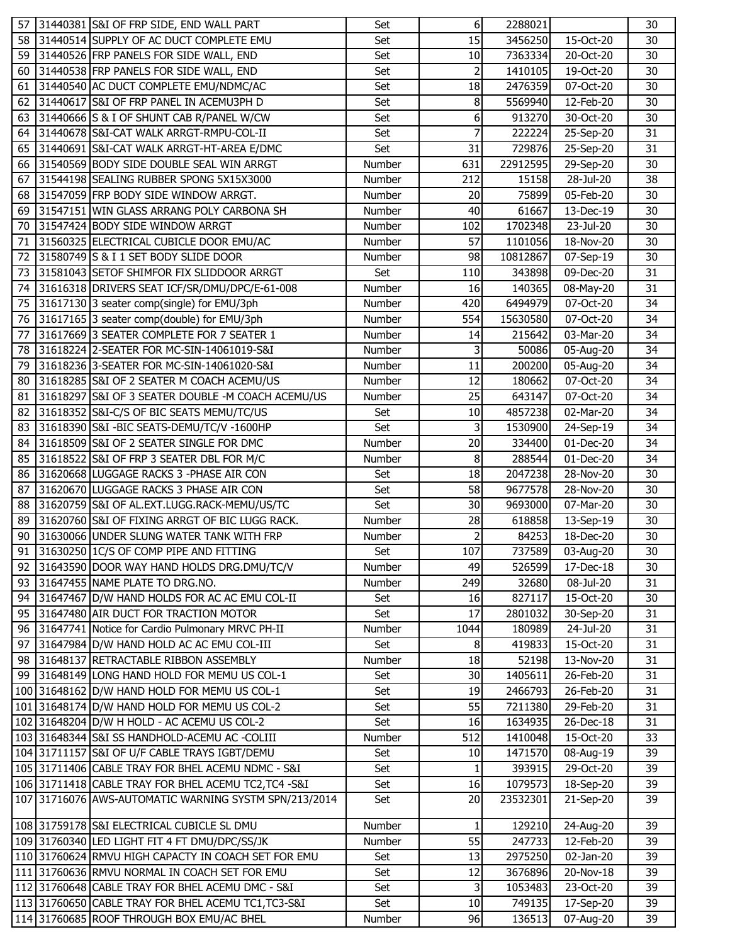| 57 | 31440381 S&I OF FRP SIDE, END WALL PART               | Set           | 6               | 2288021  |             | 30 |
|----|-------------------------------------------------------|---------------|-----------------|----------|-------------|----|
| 58 | 31440514 SUPPLY OF AC DUCT COMPLETE EMU               | Set           | 15              | 3456250  | 15-Oct-20   | 30 |
| 59 | 31440526 FRP PANELS FOR SIDE WALL, END                | Set           | 10              | 7363334  | 20-Oct-20   | 30 |
| 60 | 31440538 FRP PANELS FOR SIDE WALL, END                | Set           | $\overline{2}$  | 1410105  | 19-Oct-20   | 30 |
| 61 | 31440540 AC DUCT COMPLETE EMU/NDMC/AC                 | Set           | 18              | 2476359  | 07-Oct-20   | 30 |
| 62 | 31440617 S&I OF FRP PANEL IN ACEMU3PH D               | Set           | 8               | 5569940  | 12-Feb-20   | 30 |
| 63 | 31440666 S & I OF SHUNT CAB R/PANEL W/CW              | Set           | 6               | 913270   | 30-Oct-20   | 30 |
| 64 | 31440678 S&I-CAT WALK ARRGT-RMPU-COL-II               | Set           | 7               | 222224   | 25-Sep-20   | 31 |
| 65 | 31440691 S&I-CAT WALK ARRGT-HT-AREA E/DMC             | Set           | 31              | 729876   | $25-Sep-20$ | 31 |
| 66 | 31540569 BODY SIDE DOUBLE SEAL WIN ARRGT              | Number        | 631             | 22912595 | 29-Sep-20   | 30 |
| 67 | 31544198 SEALING RUBBER SPONG 5X15X3000               | Number        | 212             | 15158    | 28-Jul-20   | 38 |
| 68 | 31547059 FRP BODY SIDE WINDOW ARRGT.                  | Number        | 20              | 75899    | 05-Feb-20   | 30 |
| 69 | 31547151 WIN GLASS ARRANG POLY CARBONA SH             | Number        | 40              | 61667    | 13-Dec-19   | 30 |
| 70 | 31547424 BODY SIDE WINDOW ARRGT                       | Number        | 102             | 1702348  | 23-Jul-20   | 30 |
| 71 | 31560325 ELECTRICAL CUBICLE DOOR EMU/AC               | Number        | 57              | 1101056  | 18-Nov-20   | 30 |
| 72 | 31580749 S & I 1 SET BODY SLIDE DOOR                  | Number        | 98              | 10812867 | 07-Sep-19   | 30 |
| 73 | 31581043 SETOF SHIMFOR FIX SLIDDOOR ARRGT             | Set           | 110             | 343898   | 09-Dec-20   | 31 |
| 74 | 31616318 DRIVERS SEAT ICF/SR/DMU/DPC/E-61-008         | Number        | 16              | 140365   | 08-May-20   | 31 |
| 75 | 31617130 3 seater comp(single) for EMU/3ph            | Number        | 420             | 6494979  | 07-Oct-20   | 34 |
| 76 | 31617165 3 seater comp(double) for EMU/3ph            | Number        | 554             | 15630580 | 07-Oct-20   | 34 |
| 77 | 31617669 3 SEATER COMPLETE FOR 7 SEATER 1             | Number        | 14              | 215642   | 03-Mar-20   | 34 |
| 78 | 31618224 2-SEATER FOR MC-SIN-14061019-S&I             | Number        | 3               | 50086    | 05-Aug-20   | 34 |
| 79 | 31618236 3-SEATER FOR MC-SIN-14061020-S&I             | Number        | 11              | 200200   | 05-Aug-20   | 34 |
| 80 | 31618285 S&I OF 2 SEATER M COACH ACEMU/US             | Number        | 12              | 180662   | 07-Oct-20   | 34 |
| 81 | 31618297 S&I OF 3 SEATER DOUBLE -M COACH ACEMU/US     | Number        | 25              | 643147   | 07-Oct-20   | 34 |
| 82 | 31618352 S&I-C/S OF BIC SEATS MEMU/TC/US              | Set           | 10              | 4857238  | 02-Mar-20   | 34 |
| 83 | 31618390 S&I -BIC SEATS-DEMU/TC/V -1600HP             | Set           | 3               | 1530900  | 24-Sep-19   | 34 |
| 84 | 31618509 S&I OF 2 SEATER SINGLE FOR DMC               | Number        | 20              | 334400   | 01-Dec-20   | 34 |
| 85 | 31618522 S&I OF FRP 3 SEATER DBL FOR M/C              | Number        | 8               | 288544   | 01-Dec-20   | 34 |
| 86 | 31620668 LUGGAGE RACKS 3 - PHASE AIR CON              | Set           | 18              | 2047238  | 28-Nov-20   | 30 |
| 87 | 31620670 LUGGAGE RACKS 3 PHASE AIR CON                | Set           | 58              | 9677578  | 28-Nov-20   | 30 |
| 88 | 31620759 S&I OF AL.EXT.LUGG.RACK-MEMU/US/TC           | Set           | 30              | 9693000  | 07-Mar-20   | 30 |
| 89 | 31620760 S&I OF FIXING ARRGT OF BIC LUGG RACK.        | Number        | 28              | 618858   | 13-Sep-19   | 30 |
| 90 | 31630066 UNDER SLUNG WATER TANK WITH FRP              | Number        | $\overline{2}$  | 84253    | 18-Dec-20   | 30 |
|    | 91 31630250 1C/S OF COMP PIPE AND FITTING             | Set           | 107             | 737589   | 03-Aug-20   | 30 |
| 92 | 31643590 DOOR WAY HAND HOLDS DRG.DMU/TC/V             | Number        | 49              | 526599   | 17-Dec-18   | 30 |
| 93 | 31647455 NAME PLATE TO DRG.NO.                        | <b>Number</b> | 249             | 32680    | 08-Jul-20   | 31 |
| 94 | 31647467 D/W HAND HOLDS FOR AC AC EMU COL-II          | Set           | 16              | 827117   | 15-Oct-20   | 30 |
| 95 | 31647480 AIR DUCT FOR TRACTION MOTOR                  | Set           | 17              | 2801032  | 30-Sep-20   | 31 |
| 96 | 31647741 Notice for Cardio Pulmonary MRVC PH-II       | Number        | 1044            | 180989   | 24-Jul-20   | 31 |
| 97 | 31647984 D/W HAND HOLD AC AC EMU COL-III              | Set           | 8               | 419833   | 15-Oct-20   | 31 |
| 98 | 31648137 RETRACTABLE RIBBON ASSEMBLY                  | Number        | 18              | 52198    | 13-Nov-20   | 31 |
| 99 | 31648149 LONG HAND HOLD FOR MEMU US COL-1             | Set           | 30 <sup>°</sup> | 1405611  | 26-Feb-20   | 31 |
|    | 100 31648162 D/W HAND HOLD FOR MEMU US COL-1          | Set           | 19              | 2466793  | 26-Feb-20   | 31 |
|    | 101 31648174 D/W HAND HOLD FOR MEMU US COL-2          | Set           | 55              | 7211380  | 29-Feb-20   | 31 |
|    | 102 31648204 D/W H HOLD - AC ACEMU US COL-2           | Set           | 16              | 1634935  | 26-Dec-18   | 31 |
|    | 103 31648344 S&I SS HANDHOLD-ACEMU AC -COLIII         | Number        | 512             | 1410048  | 15-Oct-20   | 33 |
|    | 104 31711157 S&I OF U/F CABLE TRAYS IGBT/DEMU         | Set           | 10              | 1471570  | 08-Aug-19   | 39 |
|    | 105 31711406 CABLE TRAY FOR BHEL ACEMU NDMC - S&I     | Set           | 1               | 393915   | 29-Oct-20   | 39 |
|    | 106 31711418 CABLE TRAY FOR BHEL ACEMU TC2, TC4 -S&I  | Set           | 16              | 1079573  | 18-Sep-20   | 39 |
|    | 107 31716076 AWS-AUTOMATIC WARNING SYSTM SPN/213/2014 | Set           | 20              | 23532301 | 21-Sep-20   | 39 |
|    |                                                       |               |                 |          |             |    |
|    | 108 31759178 S&I ELECTRICAL CUBICLE SL DMU            | Number        | 1               | 129210   | 24-Aug-20   | 39 |
|    | 109 31760340 LED LIGHT FIT 4 FT DMU/DPC/SS/JK         | Number        | 55              | 247733   | 12-Feb-20   | 39 |
|    | 110 31760624 RMVU HIGH CAPACTY IN COACH SET FOR EMU   | Set           | 13              | 2975250  | 02-Jan-20   | 39 |
|    | 111 31760636 RMVU NORMAL IN COACH SET FOR EMU         | Set           | 12              | 3676896  | 20-Nov-18   | 39 |
|    | 112 31760648 CABLE TRAY FOR BHEL ACEMU DMC - S&I      | Set           | 3               | 1053483  | 23-Oct-20   | 39 |
|    | 113 31760650 CABLE TRAY FOR BHEL ACEMU TC1, TC3-S&I   | Set           | 10              | 749135   | 17-Sep-20   | 39 |
|    | 114 31760685 ROOF THROUGH BOX EMU/AC BHEL             | Number        | 96              | 136513   | 07-Aug-20   | 39 |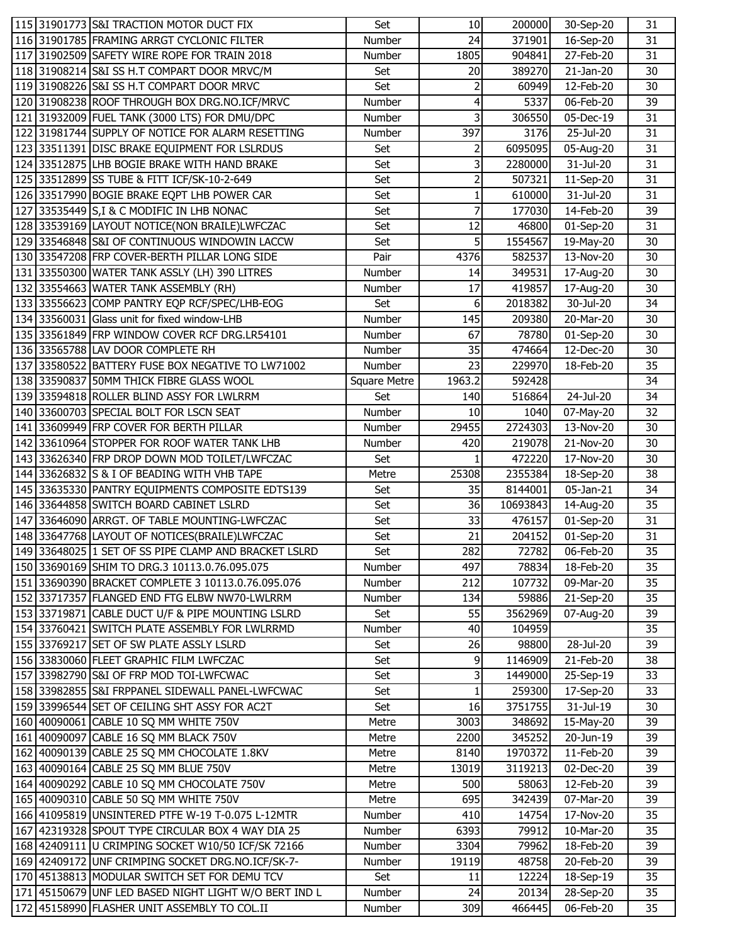|  | 115 31901773 S&I TRACTION MOTOR DUCT FIX                                                               | Set           | 10             | 200000             | 30-Sep-20                            | 31              |
|--|--------------------------------------------------------------------------------------------------------|---------------|----------------|--------------------|--------------------------------------|-----------------|
|  | 116 31901785 FRAMING ARRGT CYCLONIC FILTER                                                             | Number        | 24             | 371901             | 16-Sep-20                            | 31              |
|  | 117 31902509 SAFETY WIRE ROPE FOR TRAIN 2018                                                           | Number        | 1805           | 904841             | 27-Feb-20                            | 31              |
|  | 118 31908214 S&I SS H.T COMPART DOOR MRVC/M                                                            | Set           | 20             | 389270             | 21-Jan-20                            | 30              |
|  | 119 31908226 S&I SS H.T COMPART DOOR MRVC                                                              | Set           | $\overline{2}$ | 60949              | 12-Feb-20                            | 30              |
|  | 120 31908238 ROOF THROUGH BOX DRG.NO.ICF/MRVC                                                          | Number        | 4              | 5337               | 06-Feb-20                            | 39              |
|  | 121 31932009 FUEL TANK (3000 LTS) FOR DMU/DPC                                                          | Number        | 3              | 306550             | 05-Dec-19                            | 31              |
|  | 122 31981744 SUPPLY OF NOTICE FOR ALARM RESETTING                                                      | Number        | 397            | 3176               | 25-Jul-20                            | 31              |
|  | 123 33511391 DISC BRAKE EQUIPMENT FOR LSLRDUS                                                          | Set           | 2              | 6095095            | 05-Aug-20                            | 31              |
|  | 124 33512875 LHB BOGIE BRAKE WITH HAND BRAKE                                                           | Set           | 3              | 2280000            | $\overline{3}$ 1-Jul-20              | 31              |
|  | 125 33512899 SS TUBE & FITT ICF/SK-10-2-649                                                            | Set           | 2              | 507321             | 11-Sep-20                            | 31              |
|  | 126 33517990 BOGIE BRAKE EQPT LHB POWER CAR                                                            | Set           | $\mathbf{1}$   | 610000             | 31-Jul-20                            | 31              |
|  | 127 33535449 S, I & C MODIFIC IN LHB NONAC                                                             | Set           | 7              | 177030             | 14-Feb-20                            | 39              |
|  | 128 33539169 LAYOUT NOTICE(NON BRAILE)LWFCZAC                                                          | Set           | 12             | 46800              | 01-Sep-20                            | 31              |
|  | 129 33546848 S&I OF CONTINUOUS WINDOWIN LACCW                                                          | Set           | 5 <sup>1</sup> | 1554567            | $\overline{19}$ -May-20              | 30              |
|  | 130 33547208 FRP COVER-BERTH PILLAR LONG SIDE                                                          | Pair          | 4376           | 582537             | 13-Nov-20                            | 30              |
|  | 131 33550300 WATER TANK ASSLY (LH) 390 LITRES                                                          | Number        | 14             | 349531             | 17-Aug-20                            | 30              |
|  | 132 33554663 WATER TANK ASSEMBLY (RH)                                                                  | Number        | 17             | 419857             | 17-Aug-20                            | 30              |
|  | 133 33556623 COMP PANTRY EQP RCF/SPEC/LHB-EOG                                                          | Set           | 6              | 2018382            | 30-Jul-20                            | 34              |
|  | 134 33560031 Glass unit for fixed window-LHB                                                           | Number        | 145            | 209380             | 20-Mar-20                            | 30              |
|  | 135 33561849 FRP WINDOW COVER RCF DRG.LR54101                                                          | Number        | 67             | 78780              | 01-Sep-20                            | 30              |
|  | 136 33565788 LAV DOOR COMPLETE RH                                                                      | Number        | 35             | 474664             | 12-Dec-20                            | 30              |
|  | 137 33580522 BATTERY FUSE BOX NEGATIVE TO LW71002                                                      | Number        | 23             | 229970             | 18-Feb-20                            | 35              |
|  | 138 33590837 50MM THICK FIBRE GLASS WOOL                                                               | Square Metre  | 1963.2         | 592428             |                                      | 34              |
|  | 139 33594818 ROLLER BLIND ASSY FOR LWLRRM                                                              | Set           | 140            | 516864             | 24-Jul-20                            | 34              |
|  | 140 33600703 SPECIAL BOLT FOR LSCN SEAT                                                                | Number        | 10             | 1040               | 07-May-20                            | 32              |
|  | 141 33609949 FRP COVER FOR BERTH PILLAR                                                                | Number        | 29455          | 2724303            | 13-Nov-20                            | 30              |
|  | 142 33610964 STOPPER FOR ROOF WATER TANK LHB                                                           | Number        | 420            | 219078             | 21-Nov-20                            | 30              |
|  | 143 33626340 FRP DROP DOWN MOD TOILET/LWFCZAC                                                          | Set           | 1              | 472220             | 17-Nov-20                            | 30              |
|  |                                                                                                        |               |                |                    |                                      |                 |
|  |                                                                                                        |               |                |                    |                                      |                 |
|  | 144 33626832 S & I OF BEADING WITH VHB TAPE                                                            | Metre<br>Set  | 25308<br>35    | 2355384<br>8144001 | 18-Sep-20                            | 38<br>34        |
|  | 145 33635330 PANTRY EQUIPMENTS COMPOSITE EDTS139<br>146 33644858 SWITCH BOARD CABINET LSLRD            | Set           | 36             | 10693843           | 05-Jan-21                            | 35              |
|  | 147 33646090 ARRGT. OF TABLE MOUNTING-LWFCZAC                                                          | Set           | 33             | 476157             | 14-Aug-20                            | 31              |
|  |                                                                                                        | Set           | 21             | 204152             | $\overline{0}$ 1-Sep-20              | 31              |
|  | 148 33647768 LAYOUT OF NOTICES(BRAILE)LWFCZAC                                                          |               |                |                    | 01-Sep-20                            | $\overline{35}$ |
|  | 149 33648025 1 SET OF SS PIPE CLAMP AND BRACKET LSLRD<br>150 33690169 SHIM TO DRG.3 10113.0.76.095.075 | Set<br>Number | 282<br>497     | 78834              | 72782 06-Feb-20<br>18-Feb-20         | 35              |
|  | 151 33690390 BRACKET COMPLETE 3 10113.0.76.095.076                                                     | Number        | 212            | 107732             | 09-Mar-20                            | 35              |
|  | 152 33717357 FLANGED END FTG ELBW NW70-LWLRRM                                                          | Number        | 134            | 59886              | 21-Sep-20                            | 35              |
|  | 153 33719871 CABLE DUCT U/F & PIPE MOUNTING LSLRD                                                      | Set           | 55             | 3562969            | 07-Aug-20                            | 39              |
|  | 154 33760421 SWITCH PLATE ASSEMBLY FOR LWLRRMD                                                         | Number        | 40             | 104959             |                                      | 35              |
|  | 155 33769217 SET OF SW PLATE ASSLY LSLRD                                                               | Set           | 26             | 98800              | 28-Jul-20                            | 39              |
|  | 156 33830060 FLEET GRAPHIC FILM LWFCZAC                                                                | Set           | 9              | 1146909            | 21-Feb-20                            | 38              |
|  | 157 33982790 S&I OF FRP MOD TOI-LWFCWAC                                                                | Set           | 3              | 1449000            | 25-Sep-19                            | 33              |
|  | 158 33982855 S&I FRPPANEL SIDEWALL PANEL-LWFCWAC                                                       | Set           | $1\vert$       | 259300             | 17-Sep-20                            | 33              |
|  | 159 33996544 SET OF CEILING SHT ASSY FOR AC2T                                                          | Set           | 16             | 3751755            | 31-Jul-19                            | 30              |
|  | 160 40090061 CABLE 10 SQ MM WHITE 750V                                                                 | Metre         | 3003           | 348692             |                                      | 39              |
|  | 161 40090097 CABLE 16 SQ MM BLACK 750V                                                                 | Metre         | 2200           | 345252             | $\overline{15}$ -May-20<br>20-Jun-19 | 39              |
|  | 162 40090139 CABLE 25 SQ MM CHOCOLATE 1.8KV                                                            | Metre         | 8140           | 1970372            | 11-Feb-20                            | 39              |
|  | 163 40090164 CABLE 25 SQ MM BLUE 750V                                                                  | Metre         | 13019          | 3119213            | 02-Dec-20                            | 39              |
|  | 164 40090292 CABLE 10 SQ MM CHOCOLATE 750V                                                             | Metre         | 500            | 58063              | 12-Feb-20                            | 39              |
|  | 165 40090310 CABLE 50 SQ MM WHITE 750V                                                                 | Metre         | 695            | 342439             | 07-Mar-20                            | 39              |
|  | 166 41095819 UNSINTERED PTFE W-19 T-0.075 L-12MTR                                                      | Number        | 410            | 14754              | 17-Nov-20                            | 35              |
|  | 167 42319328 SPOUT TYPE CIRCULAR BOX 4 WAY DIA 25                                                      | Number        | 6393           | 79912              | 10-Mar-20                            | 35              |
|  | 168 42409111 U CRIMPING SOCKET W10/50 ICF/SK 72166                                                     | Number        | 3304           | 79962              | 18-Feb-20                            | 39              |
|  | 169 42409172 UNF CRIMPING SOCKET DRG.NO.ICF/SK-7-                                                      | Number        | 19119          | 48758              | 20-Feb-20                            | 39              |
|  | 170 45138813 MODULAR SWITCH SET FOR DEMU TCV                                                           | Set           | 11             | 12224              | 18-Sep-19                            | 35              |
|  | 171 45150679 UNF LED BASED NIGHT LIGHT W/O BERT IND L                                                  | Number        | 24             | 20134              | 28-Sep-20                            | 35              |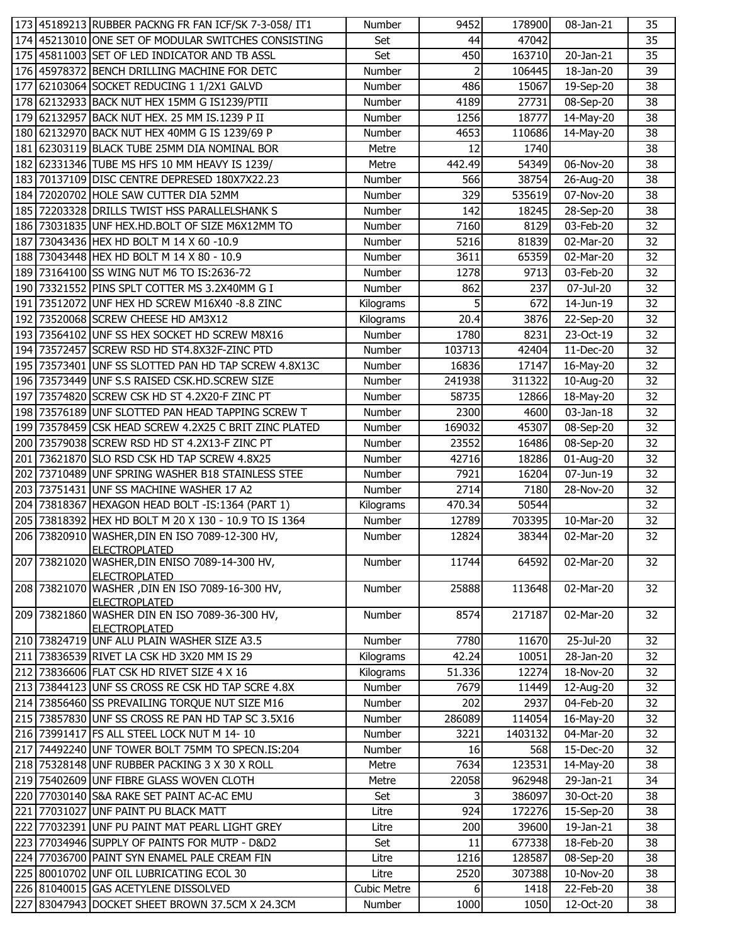|     | 173 45189213 RUBBER PACKNG FR FAN ICF/SK 7-3-058/ IT1                  | Number             | 9452           | 178900  | 08-Jan-21               | 35 |
|-----|------------------------------------------------------------------------|--------------------|----------------|---------|-------------------------|----|
|     | 174 45213010 ONE SET OF MODULAR SWITCHES CONSISTING                    | Set                | 44             | 47042   |                         | 35 |
|     | 175 45811003 SET OF LED INDICATOR AND TB ASSL                          | Set                | 450            | 163710  | 20-Jan-21               | 35 |
|     | 176 45978372 BENCH DRILLING MACHINE FOR DETC                           | Number             | $\overline{2}$ | 106445  | 18-Jan-20               | 39 |
|     | 177 62103064 SOCKET REDUCING 1 1/2X1 GALVD                             | Number             | 486            | 15067   | 19-Sep-20               | 38 |
|     | 178 62132933 BACK NUT HEX 15MM G IS1239/PTII                           | Number             | 4189           | 27731   | 08-Sep-20               | 38 |
|     | 179 62132957 BACK NUT HEX. 25 MM IS.1239 P II                          | Number             | 1256           | 18777   | 14-May-20               | 38 |
|     | 180 62132970 BACK NUT HEX 40MM G IS 1239/69 P                          | Number             | 4653           | 110686  | 14-May-20               | 38 |
|     | 181 62303119 BLACK TUBE 25MM DIA NOMINAL BOR                           | Metre              | 12             | 1740    |                         | 38 |
|     | 182 62331346 TUBE MS HFS 10 MM HEAVY IS 1239/                          | Metre              | 442.49         | 54349   | 06-Nov-20               | 38 |
|     | 183 70137109 DISC CENTRE DEPRESED 180X7X22.23                          | Number             | 566            | 38754   | 26-Aug-20               | 38 |
|     | 184 72020702 HOLE SAW CUTTER DIA 52MM                                  | Number             | 329            | 535619  | 07-Nov-20               | 38 |
|     | 185 72203328 DRILLS TWIST HSS PARALLELSHANK S                          | Number             | 142            | 18245   | 28-Sep-20               | 38 |
|     | 186 73031835 UNF HEX.HD.BOLT OF SIZE M6X12MM TO                        | Number             | 7160           | 8129    | 03-Feb-20               | 32 |
|     | 187 73043436 HEX HD BOLT M 14 X 60 -10.9                               | Number             | 5216           | 81839   | 02-Mar-20               | 32 |
|     | 188 73043448 HEX HD BOLT M 14 X 80 - 10.9                              | Number             | 3611           | 65359   | 02-Mar-20               | 32 |
|     | 189 73164100 SS WING NUT M6 TO IS:2636-72                              | Number             | 1278           | 9713    | 03-Feb-20               | 32 |
|     | 190 73321552 PINS SPLT COTTER MS 3.2X40MM G I                          | Number             | 862            | 237     | 07-Jul-20               | 32 |
|     | 191 73512072 UNF HEX HD SCREW M16X40 -8.8 ZINC                         | Kilograms          | 5              | 672     | 14-Jun-19               | 32 |
|     | 192 73520068 SCREW CHEESE HD AM3X12                                    | Kilograms          | 20.4           | 3876    | 22-Sep-20               | 32 |
|     | 193 73564102 UNF SS HEX SOCKET HD SCREW M8X16                          | Number             | 1780           | 8231    | 23-Oct-19               | 32 |
|     | 194 73572457 SCREW RSD HD ST4.8X32F-ZINC PTD                           | Number             | 103713         | 42404   | 11-Dec-20               | 32 |
|     | 195 73573401 UNF SS SLOTTED PAN HD TAP SCREW 4.8X13C                   | Number             | 16836          | 17147   | 16-May-20               | 32 |
|     | 196 73573449 UNF S.S RAISED CSK.HD.SCREW SIZE                          | Number             | 241938         | 311322  | 10-Aug-20               | 32 |
|     | 197 73574820 SCREW CSK HD ST 4.2X20-F ZINC PT                          | Number             | 58735          | 12866   | 18-May-20               | 32 |
|     | 198 73576189 UNF SLOTTED PAN HEAD TAPPING SCREW T                      | Number             | 2300           | 4600    | 03-Jan-18               | 32 |
|     | 199 73578459 CSK HEAD SCREW 4.2X25 C BRIT ZINC PLATED                  | Number             | 169032         | 45307   | 08-Sep-20               | 32 |
|     | 200 73579038 SCREW RSD HD ST 4.2X13-F ZINC PT                          | Number             | 23552          | 16486   | 08-Sep-20               | 32 |
|     | 201 73621870 SLO RSD CSK HD TAP SCREW 4.8X25                           | Number             | 42716          | 18286   | 01-Aug-20               | 32 |
|     | 202 73710489 UNF SPRING WASHER B18 STAINLESS STEE                      | Number             | 7921           | 16204   | 07-Jun-19               | 32 |
|     | 203 73751431 UNF SS MACHINE WASHER 17 A2                               | Number             | 2714           | 7180    | 28-Nov-20               | 32 |
|     | 204 73818367 HEXAGON HEAD BOLT - IS:1364 (PART 1)                      | Kilograms          | 470.34         | 50544   |                         | 32 |
|     | 205 73818392 HEX HD BOLT M 20 X 130 - 10.9 TO IS 1364                  | Number             | 12789          | 703395  | 10-Mar-20               | 32 |
|     | 206 73820910 WASHER, DIN EN ISO 7089-12-300 HV,                        | Number             | 12824          | 38344   | 02-Mar-20               | 32 |
|     | IFI FCTROPI ATFD                                                       |                    |                |         |                         |    |
|     | 207 73821020 WASHER, DIN ENISO 7089-14-300 HV,                         | Number             | 11744          | 64592   | 02-Mar-20               | 32 |
|     | <b>ELECTROPLATED</b>                                                   |                    |                |         |                         |    |
|     | 208 73821070 WASHER, DIN EN ISO 7089-16-300 HV,                        | Number             | 25888          | 113648  | 02-Mar-20               | 32 |
|     | <b>ELECTROPLATED</b>                                                   |                    |                |         |                         |    |
|     | 209 73821860 WASHER DIN EN ISO 7089-36-300 HV,<br><b>ELECTROPLATED</b> | Number             | 8574           | 217187  | 02-Mar-20               | 32 |
|     | 210 73824719 UNF ALU PLAIN WASHER SIZE A3.5                            | Number             | 7780           | 11670   | 25-Jul-20               | 32 |
|     | 211 73836539 RIVET LA CSK HD 3X20 MM IS 29                             | Kilograms          | 42.24          | 10051   | 28-Jan-20               | 32 |
|     | 212 73836606 FLAT CSK HD RIVET SIZE 4 X 16                             | Kilograms          | 51.336         | 12274   | 18-Nov-20               | 32 |
|     | 213 73844123 UNF SS CROSS RE CSK HD TAP SCRE 4.8X                      | Number             | 7679           | 11449   | 12-Aug-20               | 32 |
|     | 214 73856460 SS PREVAILING TORQUE NUT SIZE M16                         | Number             | 202            | 2937    | 04-Feb-20               | 32 |
|     | 215 73857830 UNF SS CROSS RE PAN HD TAP SC 3.5X16                      | Number             | 286089         | 114054  | 16-May-20               | 32 |
|     | 216 73991417 FS ALL STEEL LOCK NUT M 14-10                             | Number             | 3221           | 1403132 | 04-Mar-20               | 32 |
|     | 217 74492240 UNF TOWER BOLT 75MM TO SPECN.IS:204                       | Number             | 16             | 568     | 15-Dec-20               | 32 |
|     | 218 75328148 UNF RUBBER PACKING 3 X 30 X ROLL                          | Metre              | 7634           | 123531  | $\overline{14}$ -May-20 | 38 |
|     | 219 75402609 UNF FIBRE GLASS WOVEN CLOTH                               | Metre              | 22058          | 962948  | 29-Jan-21               | 34 |
|     | 220 77030140 S&A RAKE SET PAINT AC-AC EMU                              | Set                | 3              | 386097  | 30-Oct-20               | 38 |
| 221 | 77031027 UNF PAINT PU BLACK MATT                                       | Litre              | 924            | 172276  | 15-Sep-20               | 38 |
|     | 222 77032391 UNF PU PAINT MAT PEARL LIGHT GREY                         | Litre              | 200            | 39600   | 19-Jan-21               | 38 |
|     | 223 77034946 SUPPLY OF PAINTS FOR MUTP - D&D2                          | Set                | 11             | 677338  | 18-Feb-20               | 38 |
|     | 224 77036700 PAINT SYN ENAMEL PALE CREAM FIN                           | Litre              | 1216           | 128587  | 08-Sep-20               | 38 |
|     | 225 80010702 UNF OIL LUBRICATING ECOL 30                               | Litre              | 2520           | 307388  | 10-Nov-20               | 38 |
|     | 226 81040015 GAS ACETYLENE DISSOLVED                                   | <b>Cubic Metre</b> | 6              | 1418    | 22-Feb-20               | 38 |
|     | 227 83047943 DOCKET SHEET BROWN 37.5CM X 24.3CM                        | Number             | 1000           | 1050    | 12-Oct-20               | 38 |
|     |                                                                        |                    |                |         |                         |    |